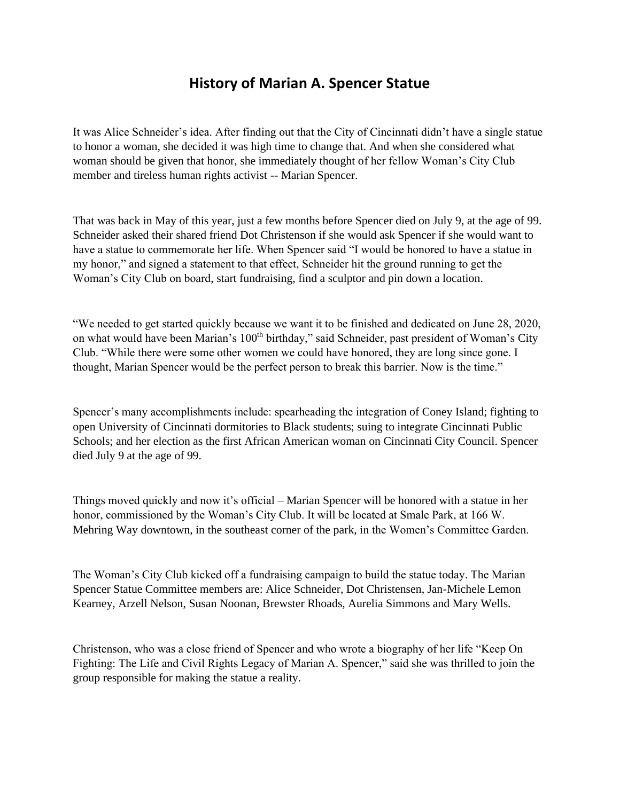## **History of Marian A. Spencer Statue**

It was Alice Schneider's idea. After finding out that the City of Cincinnati didn't have a single statue to honor a woman, she decided it was high time to change that. And when she considered what woman should be given that honor, she immediately thought of her fellow Woman's City Club member and tireless human rights activist -- Marian Spencer.

That was back in May of this year, just a few months before Spencer died on July 9, at the age of 99. Schneider asked their shared friend Dot Christenson if she would ask Spencer if she would want to have a statue to commemorate her life. When Spencer said "I would be honored to have a statue in my honor," and signed a statement to that effect, Schneider hit the ground running to get the Woman's City Club on board, start fundraising, find a sculptor and pin down a location.

"We needed to get started quickly because we want it to be finished and dedicated on June 28, 2020, on what would have been Marian's 100<sup>th</sup> birthday," said Schneider, past president of Woman's City Club. "While there were some other women we could have honored, they are long since gone. I thought, Marian Spencer would be the perfect person to break this barrier. Now is the time."

Spencer's many accomplishments include: spearheading the integration of Coney Island; fighting to open University of Cincinnati dormitories to Black students; suing to integrate Cincinnati Public Schools; and her election as the first African American woman on Cincinnati City Council. Spencer died July 9 at the age of 99.

Things moved quickly and now it's official – Marian Spencer will be honored with a statue in her honor, commissioned by the Woman's City Club. It will be located at Smale Park, at 166 W. Mehring Way downtown, in the southeast corner of the park, in the Women's Committee Garden.

The Woman's City Club kicked off a fundraising campaign to build the statue today. The Marian Spencer Statue Committee members are: Alice Schneider, Dot Christensen, Jan-Michele Lemon Kearney, Arzell Nelson, Susan Noonan, Brewster Rhoads, Aurelia Simmons and Mary Wells.

Christenson, who was a close friend of Spencer and who wrote a biography of her life "Keep On Fighting: The Life and Civil Rights Legacy of Marian A. Spencer," said she was thrilled to join the group responsible for making the statue a reality.